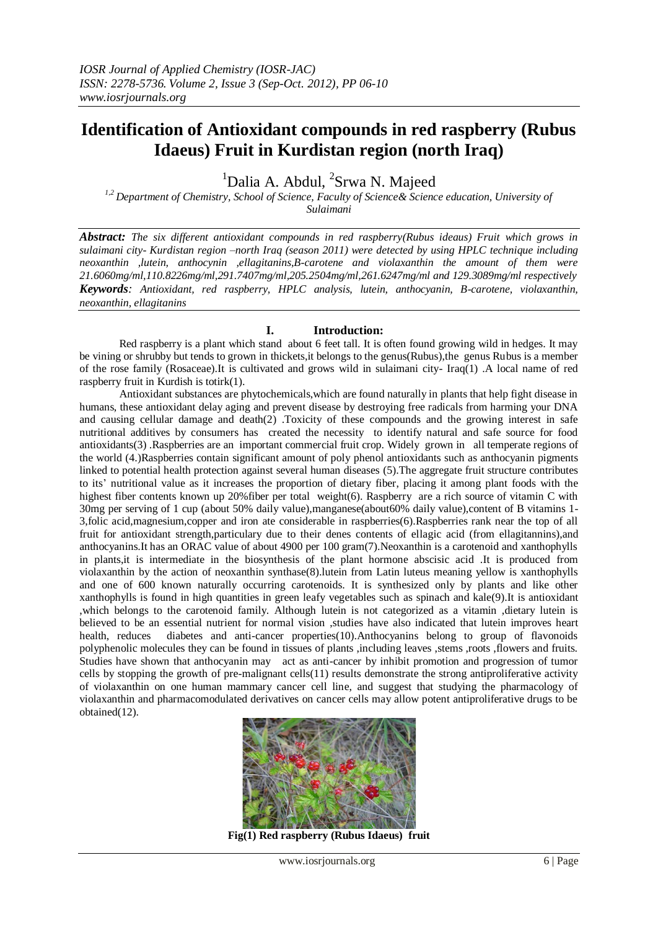# **Identification of Antioxidant compounds in red raspberry (Rubus Idaeus) Fruit in Kurdistan region (north Iraq)**

<sup>1</sup>Dalia A. Abdul, <sup>2</sup>Srwa N. Majeed

*1,2 Department of Chemistry, School of Science, Faculty of Science& Science education, University of Sulaimani*

*Abstract: The six different antioxidant compounds in red raspberry(Rubus ideaus) Fruit which grows in sulaimani city- Kurdistan region –north Iraq (season 2011) were detected by using HPLC technique including neoxanthin ,lutein, anthocynin ,ellagitanins,B-carotene and violaxanthin the amount of them were 21.6060mg/ml,110.8226mg/ml,291.7407mg/ml,205.2504mg/ml,261.6247mg/ml and 129.3089mg/ml respectively Keywords: Antioxidant, red raspberry, HPLC analysis, lutein, anthocyanin, B-carotene, violaxanthin, neoxanthin, ellagitanins*

# **I. Introduction:**

Red raspberry is a plant which stand about 6 feet tall. It is often found growing wild in hedges. It may be vining or shrubby but tends to grown in thickets,it belongs to the genus(Rubus),the genus Rubus is a member of the rose family (Rosaceae).It is cultivated and grows wild in sulaimani city- Iraq(1) .A local name of red raspberry fruit in Kurdish is totirk(1).

Antioxidant substances are phytochemicals,which are found naturally in plants that help fight disease in humans, these antioxidant delay aging and prevent disease by destroying free radicals from harming your DNA and causing cellular damage and death(2) .Toxicity of these compounds and the growing interest in safe nutritional additives by consumers has created the necessity to identify natural and safe source for food antioxidants(3) .Raspberries are an important commercial fruit crop. Widely grown in all temperate regions of the world (4.)Raspberries contain significant amount of poly phenol antioxidants such as anthocyanin pigments linked to potential health protection against several human diseases (5).The aggregate fruit structure contributes to its' nutritional value as it increases the proportion of dietary fiber, placing it among plant foods with the highest fiber contents known up 20%fiber per total weight(6). Raspberry are a rich source of vitamin C with 30mg per serving of 1 cup (about 50% daily value),manganese(about60% daily value),content of B vitamins 1- 3,folic acid,magnesium,copper and iron ate considerable in raspberries(6).Raspberries rank near the top of all fruit for antioxidant strength,particulary due to their denes contents of ellagic acid (from ellagitannins),and anthocyanins.It has an ORAC value of about 4900 per 100 gram(7).Neoxanthin is a carotenoid and xanthophylls in plants,it is intermediate in the biosynthesis of the plant hormone abscisic acid .It is produced from violaxanthin by the action of neoxanthin synthase(8).lutein from Latin luteus meaning yellow is xanthophylls and one of 600 known naturally occurring carotenoids. It is synthesized only by plants and like other xanthophylls is found in high quantities in green leafy vegetables such as spinach and kale(9).It is antioxidant ,which belongs to the carotenoid family. Although lutein is not categorized as a vitamin ,dietary lutein is believed to be an essential nutrient for normal vision ,studies have also indicated that lutein improves heart health, reduces diabetes and anti-cancer properties(10).Anthocyanins belong to group of flavonoids polyphenolic molecules they can be found in tissues of plants ,including leaves ,stems ,roots ,flowers and fruits. Studies have shown that anthocyanin may act as anti-cancer by inhibit promotion and progression of tumor cells by stopping the growth of pre-malignant cells(11) results demonstrate the strong antiproliferative activity of violaxanthin on one human mammary cancer cell line, and suggest that studying the pharmacology of violaxanthin and pharmacomodulated derivatives on cancer cells may allow potent antiproliferative drugs to be obtained(12).



**Fig(1) Red raspberry (Rubus Idaeus) fruit**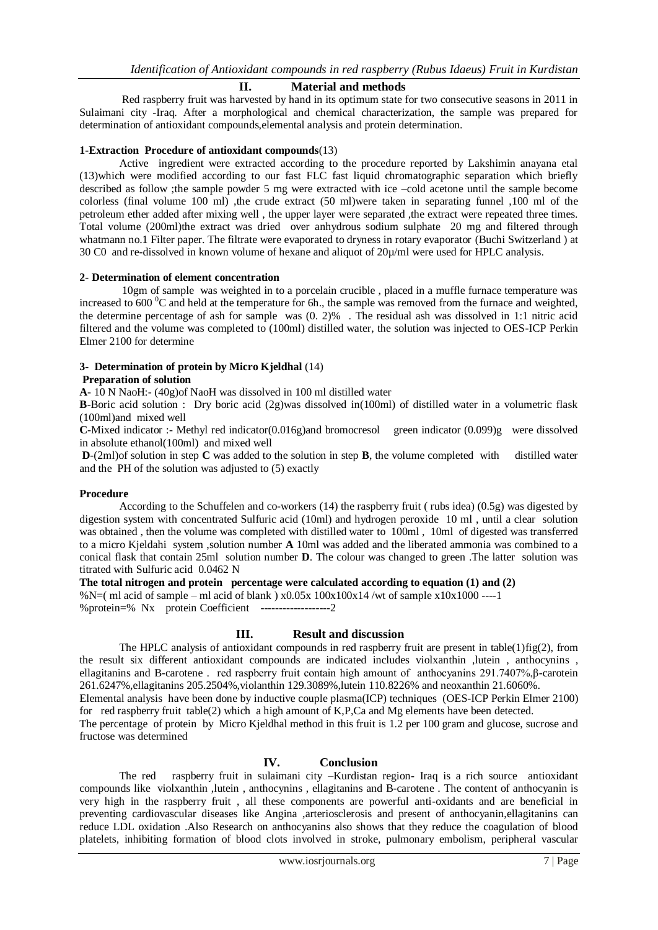## **II. Material and methods**

Red raspberry fruit was harvested by hand in its optimum state for two consecutive seasons in 2011 in Sulaimani city -Iraq. After a morphological and chemical characterization, the sample was prepared for determination of antioxidant compounds,elemental analysis and protein determination.

## **1-Extraction Procedure of antioxidant compounds**(13)

Active ingredient were extracted according to the procedure reported by Lakshimin anayana etal (13)which were modified according to our fast FLC fast liquid chromatographic separation which briefly described as follow ;the sample powder 5 mg were extracted with ice –cold acetone until the sample become colorless (final volume 100 ml) ,the crude extract (50 ml)were taken in separating funnel ,100 ml of the petroleum ether added after mixing well , the upper layer were separated ,the extract were repeated three times. Total volume (200ml)the extract was dried over anhydrous sodium sulphate 20 mg and filtered through whatmann no.1 Filter paper. The filtrate were evaporated to dryness in rotary evaporator (Buchi Switzerland) at 30 C0 and re-dissolved in known volume of hexane and aliquot of 20µ/ml were used for HPLC analysis.

## **2- Determination of element concentration**

10gm of sample was weighted in to a porcelain crucible , placed in a muffle furnace temperature was increased to  $600<sup>0</sup>C$  and held at the temperature for 6h., the sample was removed from the furnace and weighted, the determine percentage of ash for sample was (0. 2)% . The residual ash was dissolved in 1:1 nitric acid filtered and the volume was completed to (100ml) distilled water, the solution was injected to OES-ICP Perkin Elmer 2100 for determine

## **3- Determination of protein by Micro Kjeldhal** (14)

## **Preparation of solution**

**A**- 10 N NaoH:- (40g)of NaoH was dissolved in 100 ml distilled water

**B**-Boric acid solution : Dry boric acid (2g)was dissolved in(100ml) of distilled water in a volumetric flask (100ml)and mixed well

**C**-Mixed indicator :- Methyl red indicator(0.016g)and bromocresol green indicator (0.099)g were dissolved in absolute ethanol(100ml) and mixed well

**D**-(2ml)of solution in step **C** was added to the solution in step **B**, the volume completed with distilled water and the PH of the solution was adjusted to (5) exactly

#### **Procedure**

According to the Schuffelen and co-workers (14) the raspberry fruit ( rubs idea) (0.5g) was digested by digestion system with concentrated Sulfuric acid (10ml) and hydrogen peroxide 10 ml , until a clear solution was obtained , then the volume was completed with distilled water to 100ml , 10ml of digested was transferred to a micro Kjeldahi system ,solution number **A** 10ml was added and the liberated ammonia was combined to a conical flask that contain 25ml solution number **D**. The colour was changed to green .The latter solution was titrated with Sulfuric acid 0.0462 N

**The total nitrogen and protein percentage were calculated according to equation (1) and (2)** 

%N=( ml acid of sample – ml acid of blank )  $x0.05x 100x100x14$  /wt of sample  $x10x1000$  ----1 %protein=% Nx protein Coefficient -------------------2

## **III. Result and discussion**

The HPLC analysis of antioxidant compounds in red raspberry fruit are present in table(1)fig(2), from the result six different antioxidant compounds are indicated includes violxanthin ,lutein , anthocynins , ellagitanins and B-carotene . red raspberry fruit contain high amount of anthocyanins 291.7407%,β-carotein 261.6247%,ellagitanins 205.2504%,violanthin 129.3089%,lutein 110.8226% and neoxanthin 21.6060%.

Elemental analysis have been done by inductive couple plasma(ICP) techniques (OES-ICP Perkin Elmer 2100) for red raspberry fruit table(2) which a high amount of K,P,Ca and Mg elements have been detected.

The percentage of protein by Micro Kjeldhal method in this fruit is 1.2 per 100 gram and glucose, sucrose and fructose was determined

## **IV. Conclusion**

The red raspberry fruit in sulaimani city –Kurdistan region- Iraq is a rich source antioxidant compounds like violxanthin ,lutein , anthocynins , ellagitanins and B-carotene . The content of anthocyanin is very high in the raspberry fruit , all these components are powerful anti-oxidants and are beneficial in preventing cardiovascular diseases like Angina ,arteriosclerosis and present of anthocyanin,ellagitanins can reduce LDL oxidation .Also Research on anthocyanins also shows that they reduce the coagulation of blood platelets, inhibiting formation of blood clots involved in stroke, pulmonary embolism, peripheral vascular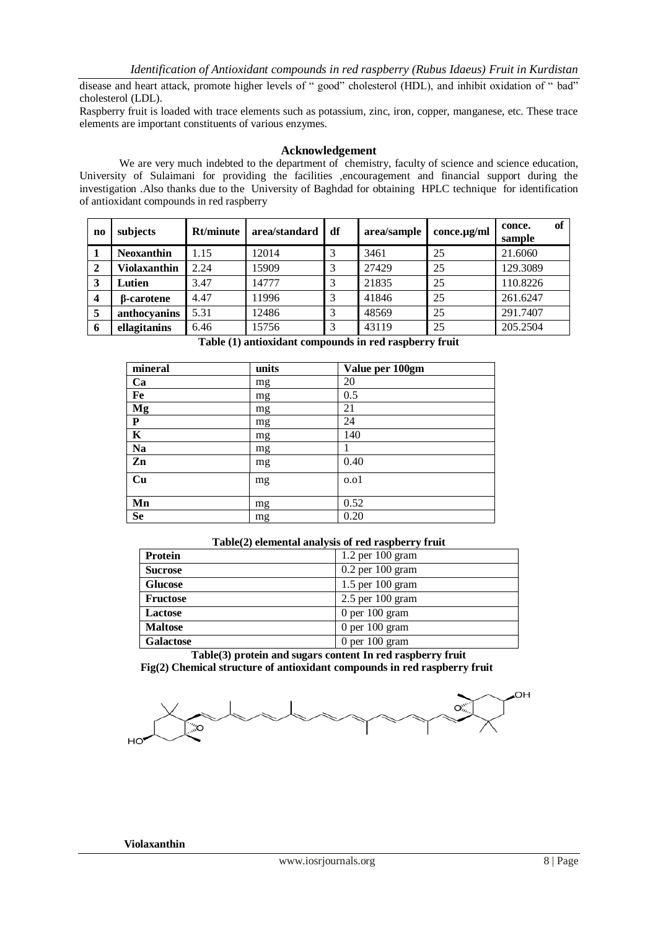disease and heart attack, promote higher levels of " good" cholesterol (HDL), and inhibit oxidation of " bad" cholesterol (LDL).

Raspberry fruit is loaded with trace elements such as potassium, zinc, iron, copper, manganese, etc. These trace elements are important constituents of various enzymes.

## **Acknowledgement**

We are very much indebted to the department of chemistry, faculty of science and science education, University of Sulaimani for providing the facilities encouragement and financial support during the investigation .Also thanks due to the University of Baghdad for obtaining HPLC technique for identification of antioxidant compounds in red raspberry

| n <sub>0</sub> | subjects            | Rt/minute | area/standard | df | area/sample | $conce.\mu g/ml$ | of<br>conce.<br>sample |
|----------------|---------------------|-----------|---------------|----|-------------|------------------|------------------------|
|                | <b>Neoxanthin</b>   | 1.15      | 12014         |    | 3461        | 25               | 21.6060                |
|                | <b>Violaxanthin</b> | 2.24      | 15909         |    | 27429       | 25               | 129.3089               |
| 3              | Lutien              | 3.47      | 14777         |    | 21835       | 25               | 110.8226               |
| 4              | <b>B</b> -carotene  | 4.47      | 11996         |    | 41846       | 25               | 261.6247               |
| 5              | anthocyanins        | 5.31      | 12486         |    | 48569       | 25               | 291.7407               |
| 6              | ellagitanins        | 6.46      | 15756         |    | 43119       | 25               | 205.2504               |

| mineral                 | units | Value per 100gm |  |
|-------------------------|-------|-----------------|--|
| Ca                      | mg    | 20              |  |
| Fe                      | mg    | 0.5             |  |
| Mg                      | mg    | 21              |  |
| ${\bf P}$               | mg    | 24              |  |
| $\overline{\mathbf{K}}$ | mg    | 140             |  |
| <b>Na</b>               | mg    |                 |  |
| Zn                      | mg    | 0.40            |  |
| Cu                      | mg    | 0.01            |  |
| Mn                      | mg    | 0.52            |  |
| <b>Se</b>               | mg    | 0.20            |  |

| Table(2) elemental analysis of red raspberry fruit |                      |  |  |  |
|----------------------------------------------------|----------------------|--|--|--|
| Protein                                            | $1.2$ per $100$ gram |  |  |  |
| <b>Sucrose</b>                                     | $0.2$ per $100$ gram |  |  |  |
| <b>Glucose</b>                                     | $1.5$ per $100$ gram |  |  |  |
| <b>Fructose</b>                                    | $2.5$ per 100 gram   |  |  |  |
| Lactose                                            | 0 per $100$ gram     |  |  |  |
| <b>Maltose</b>                                     | $0$ per $100$ gram   |  |  |  |
| <b>Galactose</b>                                   | $0$ per $100$ gram   |  |  |  |

**Table(3) protein and sugars content In red raspberry fruit Fig(2) Chemical structure of antioxidant compounds in red raspberry fruit**

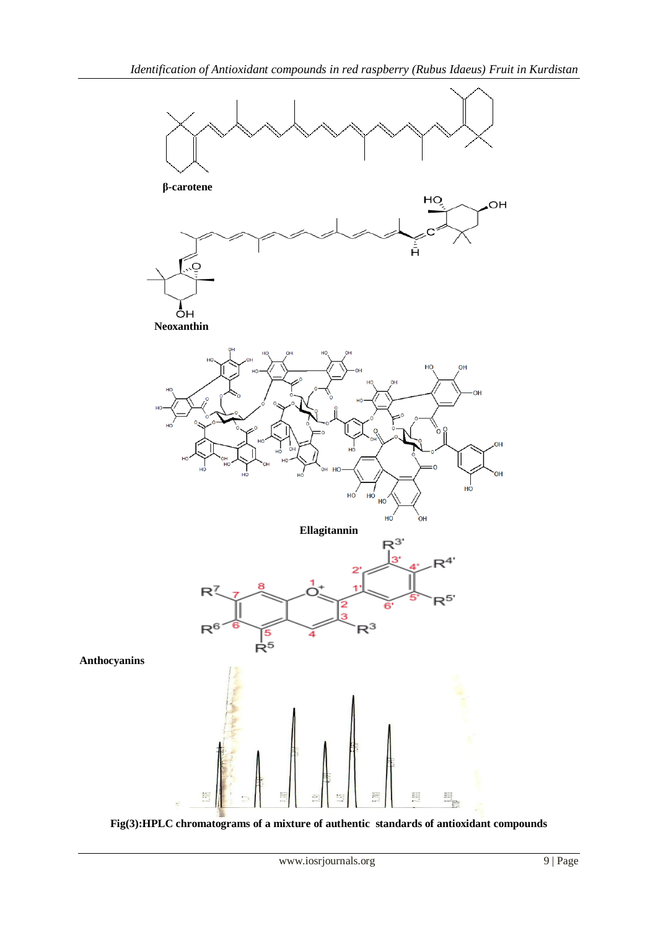

**Fig(3):HPLC chromatograms of a mixture of authentic standards of antioxidant compounds**